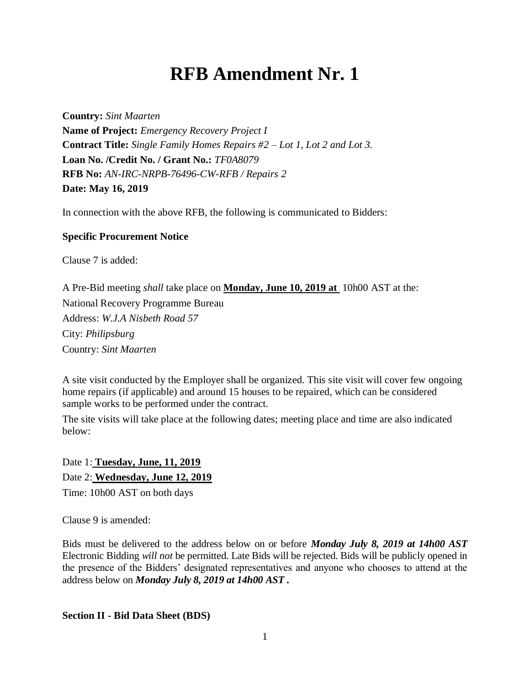## **RFB Amendment Nr. 1**

**Country:** *Sint Maarten* **Name of Project:** *Emergency Recovery Project I* **Contract Title:** *Single Family Homes Repairs #2 – Lot 1, Lot 2 and Lot 3.* **Loan No. /Credit No. / Grant No.:** *TF0A8079* **RFB No:** *AN-IRC-NRPB-76496-CW-RFB / Repairs 2* **Date: May 16, 2019**

In connection with the above RFB, the following is communicated to Bidders:

## **Specific Procurement Notice**

Clause 7 is added:

A Pre-Bid meeting *shall* take place on **Monday, June 10, 2019 at** 10h00 AST at the: National Recovery Programme Bureau Address: *W.J.A Nisbeth Road 57* City: *Philipsburg* Country: *Sint Maarten*

A site visit conducted by the Employer shall be organized. This site visit will cover few ongoing home repairs (if applicable) and around 15 houses to be repaired, which can be considered sample works to be performed under the contract.

The site visits will take place at the following dates; meeting place and time are also indicated below:

Date 1: **Tuesday, June, 11, 2019** Date 2: **Wednesday, June 12, 2019** Time: 10h00 AST on both days

Clause 9 is amended:

Bids must be delivered to the address below on or before *Monday July 8, 2019 at 14h00 AST* Electronic Bidding *will not* be permitted. Late Bids will be rejected. Bids will be publicly opened in the presence of the Bidders' designated representatives and anyone who chooses to attend at the address below on *Monday July 8, 2019 at 14h00 AST .* 

**Section II - Bid Data Sheet (BDS)**